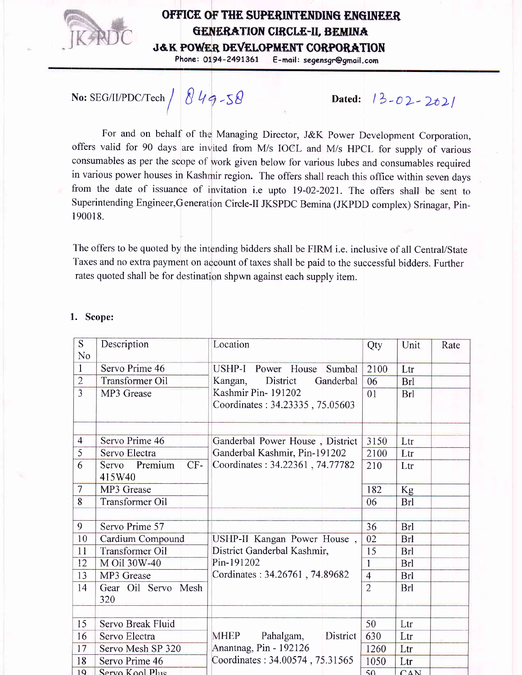

## OFFICE OF THE SUPERINTENDING ENGINEER GENERATION CIRCLE-II, BEMINA J&K POWER DEVELOPMENT CORPOR<mark>ATI</mark>ON

Phone: 0194-2491361 E-mail: segensgr@gmail.com

## No: SEG/II/PDC/Tech  $/$  849-58

Dated:  $|3-02-202|$ 

For and on behalf of the Managing Director, J&K Power Development Corporation offers valid for 90 days are invited from M/s IOCL and M/s HPCL for supply of various consumables as per the scope of work given below for various lubes and consumables required in various power houses in Kash ir region. The offers shall reach this office within seven days from the date of issuance of invitation i.e upto 19-02-2021. The offers shall be sent to Superintending Engineer, Generation Circle-II JKSPDC Bemina (JKPDD complex) Srinagar, Pin-190018.

The offers to be quoted by the intending bidders shall be FIRM i.e. inclusive of all Central/State Taxes and no extra payment on account of taxes shall be paid to the successful bidders. Further rates quoted shall be for destination shpwn against each supply item.

| $\overline{S}$<br>No | Description                      | Location                                                         | Qty            | Unit       | Rate |
|----------------------|----------------------------------|------------------------------------------------------------------|----------------|------------|------|
| $\mathbf{1}$         | Servo Prime 46                   | USHP-I Power House<br>Sumbal                                     | 2100           | Ltr        |      |
| $\overline{2}$       | Transformer Oil                  | District<br>Ganderbal<br>Kangan,                                 | 06             | <b>Brl</b> |      |
| $\overline{3}$       | MP3 Grease                       | Kashmir Pin-191202<br>Coordinates: 34.23335, 75.05603            | 01             | <b>Brl</b> |      |
| $\overline{4}$       | Servo Prime 46                   |                                                                  | 3150           | Ltr        |      |
| $\overline{5}$       | Servo Electra                    | Ganderbal Power House, District<br>Ganderbal Kashmir, Pin-191202 | 2100           | Ltr        |      |
| 6                    | Servo Premium<br>$CF-$<br>415W40 | Coordinates: 34.22361, 74.77782                                  | 210            | Ltr        |      |
| $\overline{7}$       | MP3 Grease                       |                                                                  | 182            | Kg         |      |
| 8                    | <b>Transformer Oil</b>           |                                                                  | 06             | Brl        |      |
| 9                    | Servo Prime 57                   |                                                                  | 36             | <b>Brl</b> |      |
| 10                   | Cardium Compound                 | USHP-II Kangan Power House,                                      | 02             | <b>Brl</b> |      |
| 11                   | <b>Transformer Oil</b>           | District Ganderbal Kashmir,                                      | 15             | <b>Brl</b> |      |
| 12                   | M Oil 30W-40                     | Pin-191202                                                       | $\overline{1}$ | <b>Brl</b> |      |
| 13                   | MP3 Grease                       | Cordinates: 34.26761, 74.89682                                   | $\overline{4}$ | <b>Brl</b> |      |
| 14                   | Gear Oil Servo Mesh<br>320       |                                                                  | $\overline{2}$ | Brl        |      |
| 15                   | Servo Break Fluid                |                                                                  | 50             | Ltr        |      |
| 16                   | Servo Electra                    | <b>MHEP</b><br>District<br>Pahalgam,                             | 630            | Ltr        |      |
| 17                   | Servo Mesh SP 320                | Anantnag, Pin - 192126                                           | 1260           | Ltr        |      |
| 18                   | Servo Prime 46                   | Coordinates: 34.00574, 75.31565                                  | 1050           | Ltr        |      |
| 19                   | $Servo$ $K$ ool $P$ lus          |                                                                  | 50             | CAN        |      |

## 1. Scope: